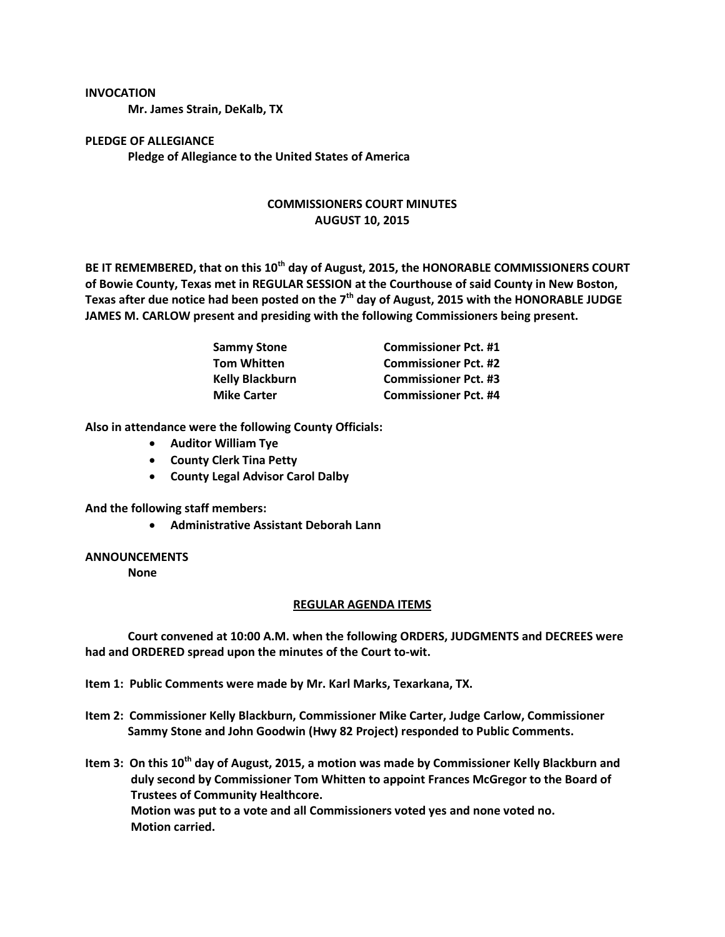#### **INVOCATION**

**Mr. James Strain, DeKalb, TX**

# **PLEDGE OF ALLEGIANCE Pledge of Allegiance to the United States of America**

# **COMMISSIONERS COURT MINUTES AUGUST 10, 2015**

**BE IT REMEMBERED, that on this 10th day of August, 2015, the HONORABLE COMMISSIONERS COURT of Bowie County, Texas met in REGULAR SESSION at the Courthouse of said County in New Boston, Texas after due notice had been posted on the 7th day of August, 2015 with the HONORABLE JUDGE JAMES M. CARLOW present and presiding with the following Commissioners being present.**

| <b>Sammy Stone</b>     | <b>Commissioner Pct. #1</b> |
|------------------------|-----------------------------|
| <b>Tom Whitten</b>     | <b>Commissioner Pct. #2</b> |
| <b>Kelly Blackburn</b> | <b>Commissioner Pct. #3</b> |
| <b>Mike Carter</b>     | <b>Commissioner Pct. #4</b> |

**Also in attendance were the following County Officials:**

- **Auditor William Tye**
- **•** County Clerk Tina Petty
- **County Legal Advisor Carol Dalby**

**And the following staff members:**

**Administrative Assistant Deborah Lann**

### **ANNOUNCEMENTS**

**None**

### **REGULAR AGENDA ITEMS**

**Court convened at 10:00 A.M. when the following ORDERS, JUDGMENTS and DECREES were had and ORDERED spread upon the minutes of the Court to-wit.**

**Item 1: Public Comments were made by Mr. Karl Marks, Texarkana, TX.**

**Item 2: Commissioner Kelly Blackburn, Commissioner Mike Carter, Judge Carlow, Commissioner Sammy Stone and John Goodwin (Hwy 82 Project) responded to Public Comments.**

**Item 3: On this 10th day of August, 2015, a motion was made by Commissioner Kelly Blackburn and duly second by Commissioner Tom Whitten to appoint Frances McGregor to the Board of Trustees of Community Healthcore. Motion was put to a vote and all Commissioners voted yes and none voted no. Motion carried.**